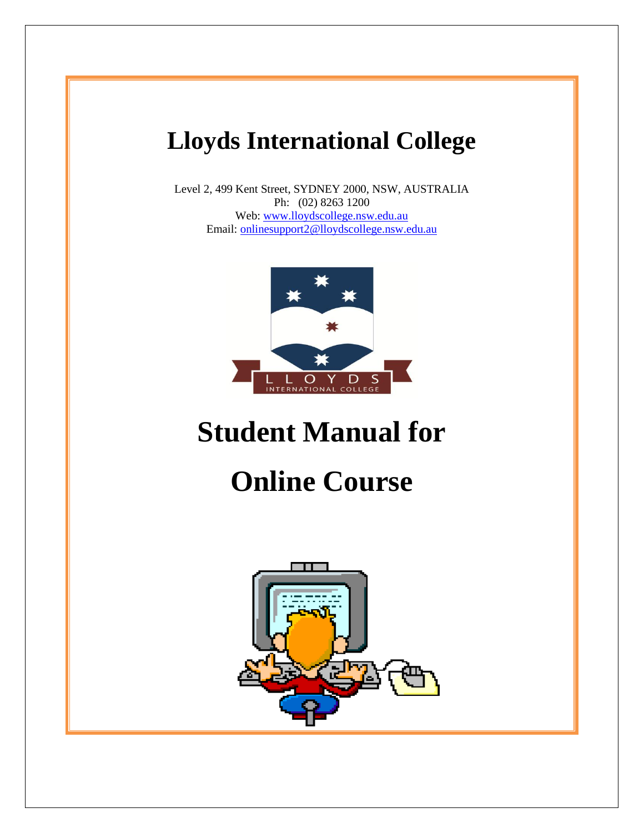# **Lloyds International College**

Level 2, 499 Kent Street, SYDNEY 2000, NSW, AUSTRALIA Ph: (02) 8263 1200 Web: [www.lloydscollege.nsw.edu.au](http://www.lloydscollege.nsw.edu.au/) Email: [onlinesupport2@lloydscollege.nsw.edu.au](mailto:onlinesupport2@lloydscollege.nsw.edu.au)



# **Student Manual for**

# **Online Course**

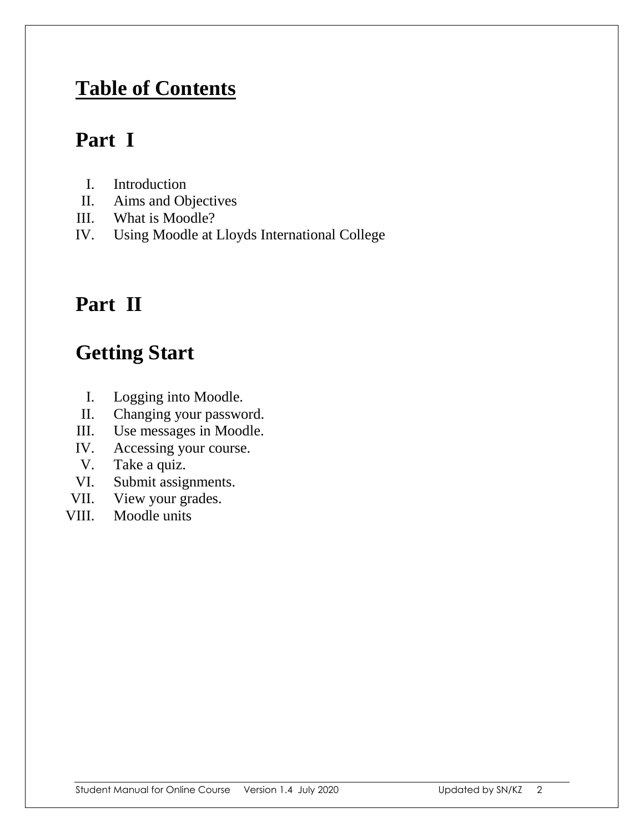#### **Table of Contents**

#### **Part I**

- I. Introduction
- II. Aims and Objectives
- III. What is Moodle?
- IV. Using Moodle at Lloyds International College

### **Part II**

# **Getting Start**

- I. Logging into Moodle.
- II. Changing your password.
- III. Use messages in Moodle.
- IV. Accessing your course.
- V. Take a quiz.
- VI. Submit assignments.
- VII. View your grades.
- VIII. Moodle units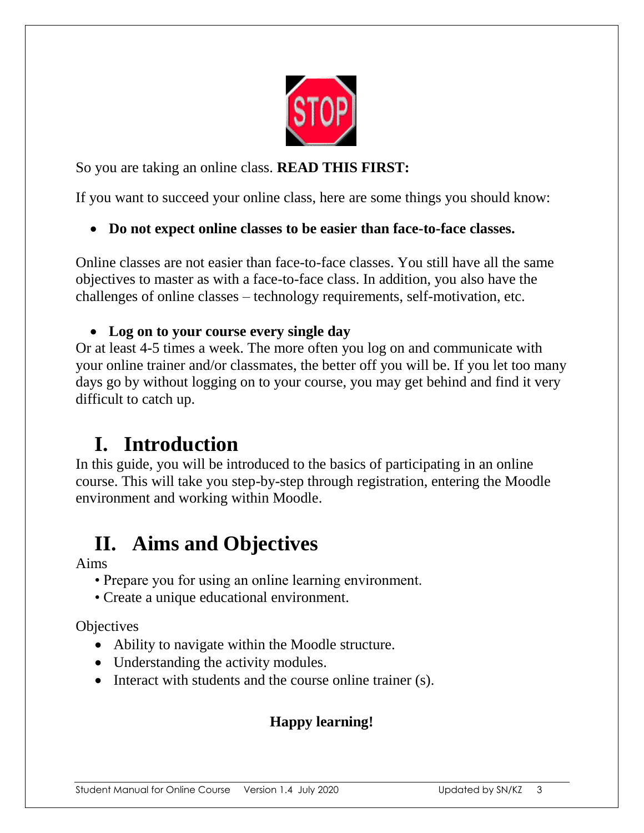

So you are taking an online class. **READ THIS FIRST:**

If you want to succeed your online class, here are some things you should know:

**Do not expect online classes to be easier than face-to-face classes.** 

Online classes are not easier than face-to-face classes. You still have all the same objectives to master as with a face-to-face class. In addition, you also have the challenges of online classes – technology requirements, self-motivation, etc.

#### **Log on to your course every single day**

Or at least 4-5 times a week. The more often you log on and communicate with your online trainer and/or classmates, the better off you will be. If you let too many days go by without logging on to your course, you may get behind and find it very difficult to catch up.

#### **I. Introduction**

In this guide, you will be introduced to the basics of participating in an online course. This will take you step-by-step through registration, entering the Moodle environment and working within Moodle.

### **II. Aims and Objectives**

Aims

- Prepare you for using an online learning environment.
- Create a unique educational environment.

**Objectives** 

- Ability to navigate within the Moodle structure.
- Understanding the activity modules.
- Interact with students and the course online trainer (s).

#### **Happy learning!**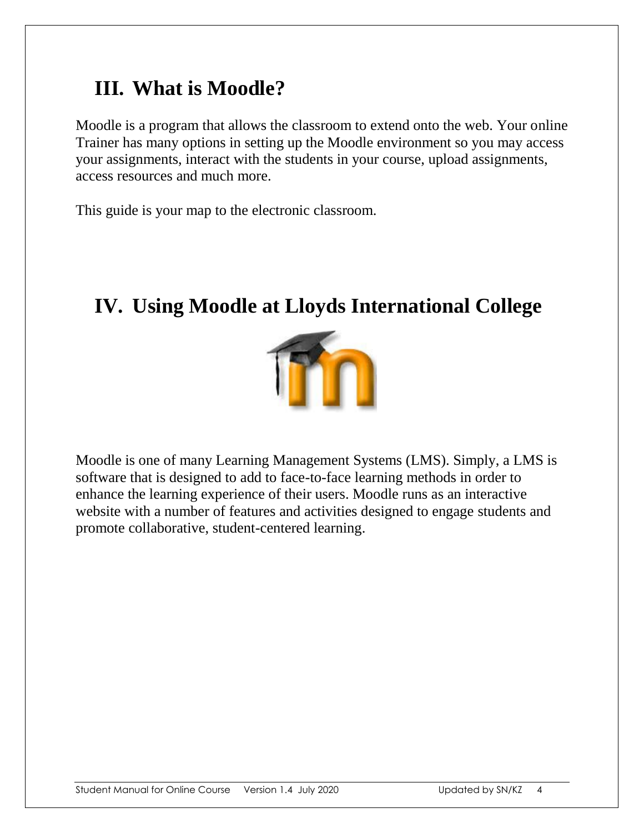#### **III. What is Moodle?**

Moodle is a program that allows the classroom to extend onto the web. Your online Trainer has many options in setting up the Moodle environment so you may access your assignments, interact with the students in your course, upload assignments, access resources and much more.

This guide is your map to the electronic classroom.

### **IV. Using Moodle at Lloyds International College**



Moodle is one of many Learning Management Systems (LMS). Simply, a LMS is software that is designed to add to face-to-face learning methods in order to enhance the learning experience of their users. Moodle runs as an interactive website with a number of features and activities designed to engage students and promote collaborative, student-centered learning.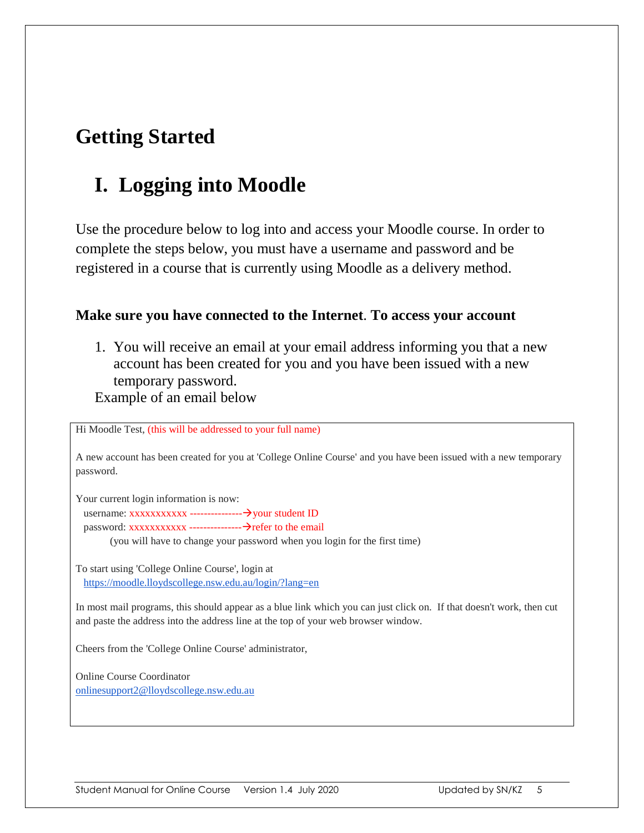### **Getting Started**

#### **I. Logging into Moodle**

Use the procedure below to log into and access your Moodle course. In order to complete the steps below, you must have a username and password and be registered in a course that is currently using Moodle as a delivery method.

#### **Make sure you have connected to the Internet**. **To access your account**

1. You will receive an email at your email address informing you that a new account has been created for you and you have been issued with a new temporary password.

Example of an email below

Hi Moodle Test, (this will be addressed to your full name)

A new account has been created for you at 'College Online Course' and you have been issued with a new temporary password.

Your current login information is now:

username: xxxxxxxxxxx ---------------your student ID password: xxxxxxxxxxx ---------------refer to the email

(you will have to change your password when you login for the first time)

To start using 'College Online Course', login at <https://moodle.lloydscollege.nsw.edu.au/login/?lang=en>

In most mail programs, this should appear as a blue link which you can just click on. If that doesn't work, then cut and paste the address into the address line at the top of your web browser window.

Cheers from the 'College Online Course' administrator,

Online Course Coordinator [onlinesupport2@lloydscollege.nsw.edu.au](mailto:onlinesupport2@lloydscollege.nsw.edu.au)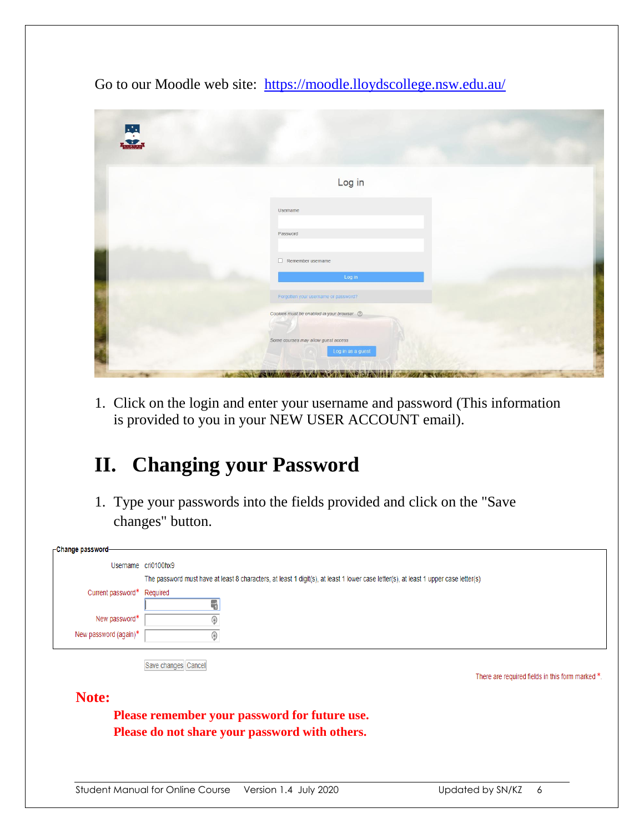Go to our Moodle web site: <https://moodle.lloydscollege.nsw.edu.au/>

| 思 |                                                                                                                                                                                                                                |  |
|---|--------------------------------------------------------------------------------------------------------------------------------------------------------------------------------------------------------------------------------|--|
|   | Log in                                                                                                                                                                                                                         |  |
|   | Username                                                                                                                                                                                                                       |  |
|   | Password                                                                                                                                                                                                                       |  |
|   | $\Box$ Remember username<br>Log in                                                                                                                                                                                             |  |
|   | Forgotten your username or password?                                                                                                                                                                                           |  |
|   | Cookies must be enabled in your browser ©                                                                                                                                                                                      |  |
|   | Some courses may allow guest access<br>Log in as a guest                                                                                                                                                                       |  |
|   | The Mill of MILL NEW WEIGHT AND THE RESIDENCE OF THE CONTRACTOR OF THE CONTRACTOR OF THE CONTRACTOR OF THE CONTRACTOR OF THE CONTRACTOR OF THE CONTRACTOR OF THE CONTRACTOR OF THE CONTRACTOR OF THE CONTRACTOR OF THE CONTRAC |  |

1. Click on the login and enter your username and password (This information is provided to you in your NEW USER ACCOUNT email).

## **II. Changing your Password**

1. Type your passwords into the fields provided and click on the "Save changes" button.

| -Change password-     |                                                                                                                                                 |
|-----------------------|-------------------------------------------------------------------------------------------------------------------------------------------------|
| Username cri0100hx9   |                                                                                                                                                 |
| Current password*     | The password must have at least 8 characters, at least 1 digit(s), at least 1 lower case letter(s), at least 1 upper case letter(s)<br>Required |
| New password*         | Ŧ                                                                                                                                               |
| New password (again)* | ۵                                                                                                                                               |
|                       | Save changes Cancel<br>There are required fields in this form marked *.                                                                         |
| Note:                 |                                                                                                                                                 |
|                       | Please remember your password for future use.                                                                                                   |
|                       | Please do not share your password with others.                                                                                                  |
|                       |                                                                                                                                                 |
|                       |                                                                                                                                                 |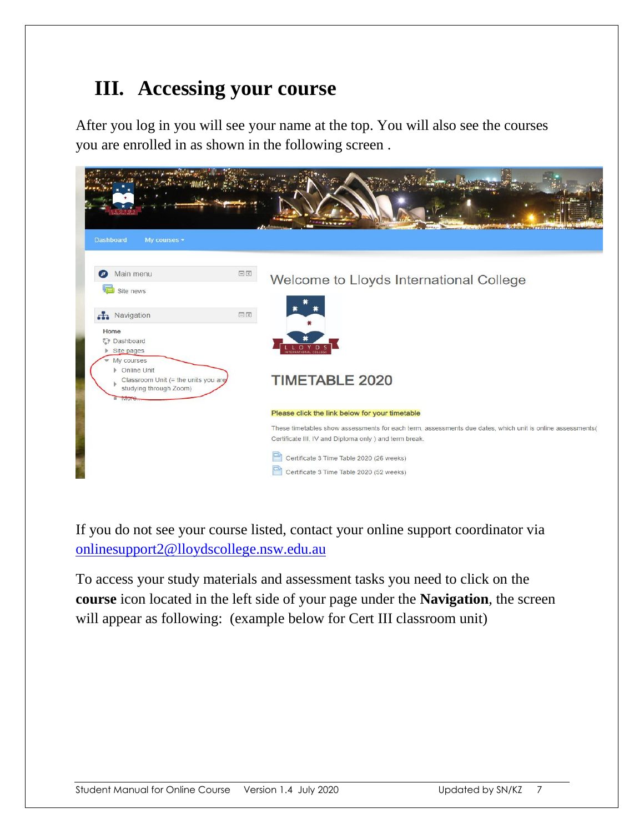#### **III. Accessing your course**

After you log in you will see your name at the top. You will also see the courses you are enrolled in as shown in the following screen .

| <b>Dashboard</b><br>My courses -                                                                         |                        |                                                                                                                                                                     |
|----------------------------------------------------------------------------------------------------------|------------------------|---------------------------------------------------------------------------------------------------------------------------------------------------------------------|
| Main menu<br>ø<br>Site news                                                                              | $\square$<br>$\square$ | Welcome to Lloyds International College                                                                                                                             |
| Ravigation                                                                                               | 日回                     |                                                                                                                                                                     |
| Home<br>Dashboard<br>Site pages                                                                          |                        | $\mathbf{D}$<br>O Y                                                                                                                                                 |
| My courses<br>Online Unit<br>Classroom Unit (= the units you are<br>studying through Zoom)<br><b>Wor</b> |                        | <b>TIMETABLE 2020</b>                                                                                                                                               |
|                                                                                                          |                        | Please click the link below for your timetable                                                                                                                      |
|                                                                                                          |                        | These timetables show assessments for each term, assessments due dates, which unit is online assessments(<br>Certificate III, IV and Diploma only ) and term break. |
|                                                                                                          |                        | Certificate 3 Time Table 2020 (26 weeks)<br>Certificate 3 Time Table 2020 (52 weeks)                                                                                |

If you do not see your course listed, contact your online support coordinator via [onlinesupport2@lloydscollege.nsw.edu.au](mailto:onlinesupport2@lloydscollege.nsw.edu.au)

To access your study materials and assessment tasks you need to click on the **course** icon located in the left side of your page under the **Navigation**, the screen will appear as following: (example below for Cert III classroom unit)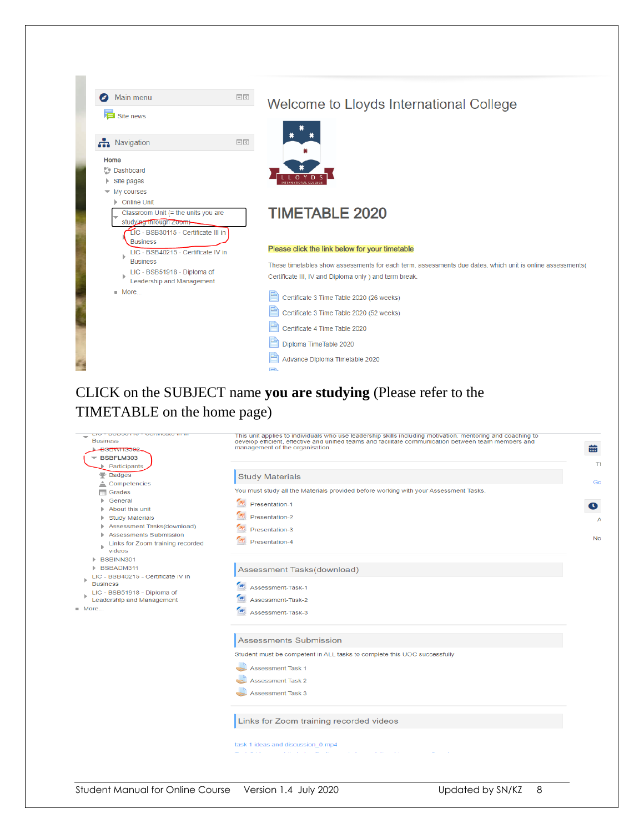| Main menu                                                                                                               | $\Box$<br>$\subset$ | Welcome to Lloyds International College                                                                   |
|-------------------------------------------------------------------------------------------------------------------------|---------------------|-----------------------------------------------------------------------------------------------------------|
| Site news                                                                                                               |                     |                                                                                                           |
| <b>A</b> Navigation                                                                                                     | $-<$                |                                                                                                           |
| Home                                                                                                                    |                     |                                                                                                           |
| <b>Dashboard</b>                                                                                                        |                     |                                                                                                           |
| Site pages                                                                                                              |                     |                                                                                                           |
| $\blacktriangleright$ My courses<br>▶ Online Unit                                                                       |                     |                                                                                                           |
| Classroom Unit (= the units you are<br>studying through Zoom)<br>LIC - BSB30115 - Certificate III in<br><b>Business</b> |                     | <b>TIMETABLE 2020</b>                                                                                     |
| LIC - BSB40215 - Certificate IV in                                                                                      |                     | Please click the link below for your timetable                                                            |
| <b>Business</b>                                                                                                         |                     | These timetables show assessments for each term, assessments due dates, which unit is online assessments( |
| LIC - BSB51918 - Diploma of<br>Leadership and Management                                                                |                     | Certificate III, IV and Diploma only ) and term break.                                                    |
| More                                                                                                                    |                     | Certificate 3 Time Table 2020 (26 weeks)                                                                  |
|                                                                                                                         |                     | Certificate 3 Time Table 2020 (52 weeks)                                                                  |
|                                                                                                                         |                     | Certificate 4 Time Table 2020                                                                             |
|                                                                                                                         |                     | Diploma TimeTable 2020                                                                                    |
|                                                                                                                         |                     | Advance Diploma Timetable 2020                                                                            |
|                                                                                                                         |                     | FD.                                                                                                       |

#### CLICK on the SUBJECT name **you are studying** (Please refer to the TIMETABLE on the home page)

| LIGHT DODOOTTO F GUTHIGARD IN INT<br><b>Business</b><br><del>BSBWHS302</del><br>$\overline{\phantom{a}}$ BSBFLM303 | This unit applies to individuals who use leadership skills including motivation, mentoring and coaching to<br>develop efficient, effective and unified teams and facilitate communication between team members and<br>management of the organisation. | 曲              |
|--------------------------------------------------------------------------------------------------------------------|-------------------------------------------------------------------------------------------------------------------------------------------------------------------------------------------------------------------------------------------------------|----------------|
| <b>Participants</b><br>Badges                                                                                      | <b>Study Materials</b>                                                                                                                                                                                                                                | TI             |
| $\triangle$ Competencies<br>$\Box$ Grades<br>▶ General                                                             | You must study all the Materials provided before working with your Assessment Tasks.<br>$P_{2}$                                                                                                                                                       | Go             |
| About this unit<br><b>Study Materials</b><br>Assessment Tasks(download)<br>٠                                       | Presentation-1<br>Presentation-2                                                                                                                                                                                                                      | $\bullet$<br>А |
| <b>Assessments Submission</b><br>ь<br>Links for Zoom training recorded<br>videos                                   | Presentation-3<br>Presentation-4                                                                                                                                                                                                                      | <b>No</b>      |
| BSBINN301<br>BSBADM311<br>LIC - BSB40215 - Certificate IV in                                                       | Assessment Tasks(download)                                                                                                                                                                                                                            |                |
| <b>Business</b><br>LIC - BSB51918 - Diploma of<br>Leadership and Management                                        | W<br>Assessment-Task-1<br>Assessment-Task-2                                                                                                                                                                                                           |                |
| More                                                                                                               | Assessment-Task-3                                                                                                                                                                                                                                     |                |
|                                                                                                                    | <b>Assessments Submission</b>                                                                                                                                                                                                                         |                |
|                                                                                                                    | Student must be competent in ALL tasks to complete this UOC successfully<br><b>Assessment Task 1</b>                                                                                                                                                  |                |
|                                                                                                                    | <b>Assessment Task 2</b>                                                                                                                                                                                                                              |                |
|                                                                                                                    | <b>Assessment Task 3</b>                                                                                                                                                                                                                              |                |
|                                                                                                                    | Links for Zoom training recorded videos                                                                                                                                                                                                               |                |
|                                                                                                                    | task 1 ideas and discussion 0.mp4                                                                                                                                                                                                                     |                |
|                                                                                                                    |                                                                                                                                                                                                                                                       |                |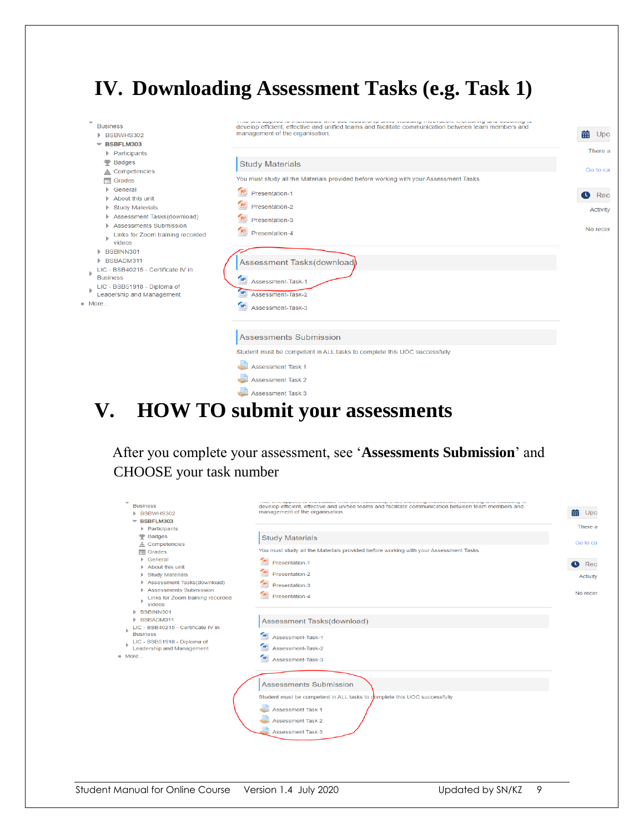#### **IV. Downloading Assessment Tasks (e.g. Task 1)**

| <b>Business</b><br>BSBWHS302<br>BSBFLM303<br>▼<br>Participants<br><b>Badges</b><br>Competencies<br>$\equiv$ Grades<br>General<br>About this unit<br><b>Study Materials</b><br>Assessment Tasks(download)<br><b>Assessments Submission</b><br>Links for Zoom training recorded<br>videos<br>BSBINN301<br>BSBADM311<br>LIC - BSB40215 - Certificate IV in<br><b>Business</b><br>LIC - BSB51918 - Diploma of<br>Leadership and Management<br>More | to matrialand ring and roadereinp oning mandaing motificials, moneting and opaching to<br>develop efficient, effective and unified teams and facilitate communication between team members and<br>management of the organisation.<br><b>Study Materials</b><br>You must study all the Materials provided before working with your Assessment Tasks.<br>$P_{\Sigma}$<br>Presentation-1<br>Presentation-2<br>$P_{\Sigma}$<br>Presentation-3<br>Presentation-4<br>Assessment Tasks(download)<br>W<br>Assessment-Task-1<br>Assessment-Task-2<br>W<br>Assessment-Task-3 | 曲<br>Upc<br>There a<br>Go to cal<br>$\mathbf \Omega$<br>Rec<br><b>Activity</b><br>No recer |
|------------------------------------------------------------------------------------------------------------------------------------------------------------------------------------------------------------------------------------------------------------------------------------------------------------------------------------------------------------------------------------------------------------------------------------------------|--------------------------------------------------------------------------------------------------------------------------------------------------------------------------------------------------------------------------------------------------------------------------------------------------------------------------------------------------------------------------------------------------------------------------------------------------------------------------------------------------------------------------------------------------------------------|--------------------------------------------------------------------------------------------|
|                                                                                                                                                                                                                                                                                                                                                                                                                                                | <b>Assessments Submission</b><br>Student must be competent in ALL tasks to complete this UOC successfully<br><b>Assessment Task 1</b><br><b>Assessment Task 2</b><br>Assessment Task 3                                                                                                                                                                                                                                                                                                                                                                             |                                                                                            |

#### **V. HOW TO submit your assessments**

 After you complete your assessment, see '**Assessments Submission**' and CHOOSE your task number

| ٠<br><b>Business</b><br><b>BSBWHS302</b><br>BSBFLM303                                                                                                                                                                                       | cand was appared to anarraname rate used readership brand anaroung covernation, coortening and sederating to<br>develop efficient, effective and unified teams and facilitate communication between team members and<br>management of the organisation. | 齒<br>Upci        |
|---------------------------------------------------------------------------------------------------------------------------------------------------------------------------------------------------------------------------------------------|---------------------------------------------------------------------------------------------------------------------------------------------------------------------------------------------------------------------------------------------------------|------------------|
| <b>Participants</b>                                                                                                                                                                                                                         |                                                                                                                                                                                                                                                         | There a          |
| Badges<br>≜<br>Competencies                                                                                                                                                                                                                 | <b>Study Materials</b>                                                                                                                                                                                                                                  | Go to cal        |
| $\Box$ Grades                                                                                                                                                                                                                               | You must study all the Materials provided before working with your Assessment Tasks.                                                                                                                                                                    |                  |
| General<br>Þ.                                                                                                                                                                                                                               | $\mathbf{P}_2$<br>Presentation-1                                                                                                                                                                                                                        | $\bullet$<br>Rec |
| About this unit<br>Þ.<br><b>Study Materials</b><br>Þ.                                                                                                                                                                                       | Presentation-2                                                                                                                                                                                                                                          | <b>Activity</b>  |
| Assessment Tasks(download)<br>Þ.                                                                                                                                                                                                            | $\mathbf{B}$<br>Presentation-3                                                                                                                                                                                                                          |                  |
| Assessments Submission<br>Links for Zoom training recorded<br>ь<br>videos<br>BSBINN301<br>ь.<br>BSBADM311<br>ь.<br>LIC - BSB40215 - Certificate IV in<br><b>Business</b><br>LIC - BSB51918 - Diploma of<br><b>Leadership and Management</b> | $\mathbf{R}$<br>Presentation-4                                                                                                                                                                                                                          | No recer         |
|                                                                                                                                                                                                                                             | Assessment Tasks(download)                                                                                                                                                                                                                              |                  |
|                                                                                                                                                                                                                                             | W<br>Assessment-Task-1                                                                                                                                                                                                                                  |                  |
|                                                                                                                                                                                                                                             | W<br>Assessment-Task-2                                                                                                                                                                                                                                  |                  |
| More                                                                                                                                                                                                                                        | W<br>Assessment-Task-3                                                                                                                                                                                                                                  |                  |
|                                                                                                                                                                                                                                             | <b>Assessments Submission</b><br>Student must be competent in ALL tasks to complete this UOC successfully<br><b>Assessment Task 1</b><br><b>Assessment Task 2</b><br><b>Assessment Task 3</b>                                                           |                  |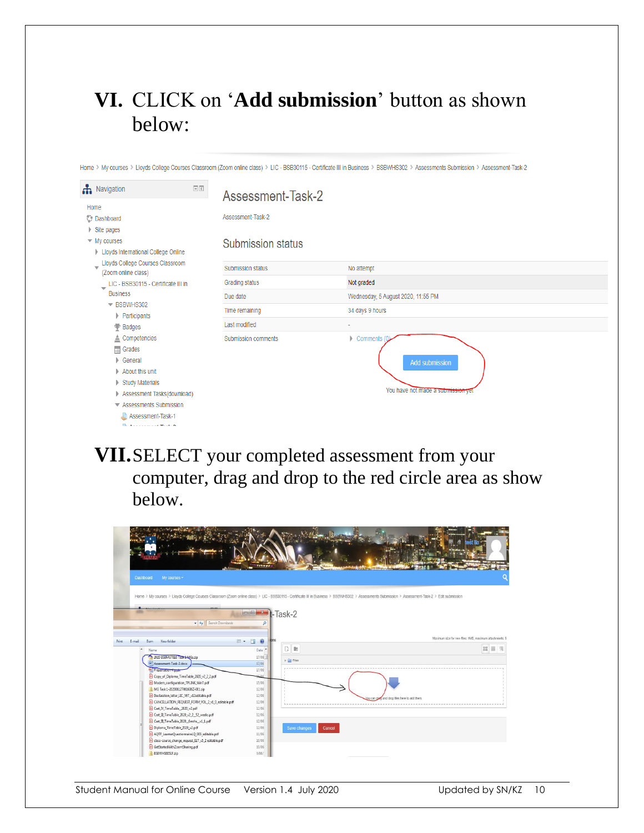### **VI.** CLICK on '**Add submission**' button as shown below:

Home > My courses > Lloyds College Courses Classroom (Zoom online class) > LIC - BSB30115 - Certificate III in Business > BSBWHS302 > Assessments Submission > Assessment-Task-2

| $\Box$<br>Ravigation<br>Home<br><b>Dashboard</b><br>$\triangleright$ Site pages<br>$\blacktriangleright$ My courses<br>Lloyds International College Online<br>Lloyds College Courses Classroom<br>$\overline{\phantom{0}}$<br>(Zoom online class)<br>LIC - BSB30115 - Certificate III in<br>$\overline{\phantom{a}}$<br><b>Business</b><br>▼ BSBWHS302<br>Participants<br><b>₩</b> Badges<br>$\triangle$ Competencies<br>$\equiv$ Grades<br>General<br>About this unit<br><b>Study Materials</b><br>Assessment Tasks(download)<br>Assessments Submission<br>Assessment-Task-1<br>The Alexandrian Street, A | Assessment-Task-2<br>Assessment-Task-2<br><b>Submission status</b> |                                                                                     |
|------------------------------------------------------------------------------------------------------------------------------------------------------------------------------------------------------------------------------------------------------------------------------------------------------------------------------------------------------------------------------------------------------------------------------------------------------------------------------------------------------------------------------------------------------------------------------------------------------------|--------------------------------------------------------------------|-------------------------------------------------------------------------------------|
|                                                                                                                                                                                                                                                                                                                                                                                                                                                                                                                                                                                                            | <b>Submission status</b>                                           | No attempt                                                                          |
|                                                                                                                                                                                                                                                                                                                                                                                                                                                                                                                                                                                                            | Grading status                                                     | Not graded                                                                          |
|                                                                                                                                                                                                                                                                                                                                                                                                                                                                                                                                                                                                            | Due date                                                           | Wednesday, 5 August 2020, 11:55 PM                                                  |
|                                                                                                                                                                                                                                                                                                                                                                                                                                                                                                                                                                                                            | Time remaining                                                     | 34 days 9 hours                                                                     |
|                                                                                                                                                                                                                                                                                                                                                                                                                                                                                                                                                                                                            | Last modified                                                      | ٠                                                                                   |
|                                                                                                                                                                                                                                                                                                                                                                                                                                                                                                                                                                                                            | Submission comments                                                | $\triangleright$ Comments (<br>Add submission<br>You have not made a submission yet |

#### **VII.**SELECT your completed assessment from your computer, drag and drop to the red circle area as show below.

| <b>Dashboard</b><br>My courses -                                                              | diamet.                       |                               |                                                                                                                                                                                                                                                              |
|-----------------------------------------------------------------------------------------------|-------------------------------|-------------------------------|--------------------------------------------------------------------------------------------------------------------------------------------------------------------------------------------------------------------------------------------------------------|
| $\bullet$ $\leftarrow$ $\leftarrow$ Search Downloads<br>New folder<br>E-mail<br>Burn<br>Print | $   -$ Task-2<br>Q<br>$E - T$ |                               | Home > My courses > Lloyds College Courses Classroom (Zoom online class) > LIC - BSB30115 - Certificate III in Business > BSBWHS302 > Assessments Submission > Assessment-Task-2 > Edit submission<br>Maximum size for new files: 1MB maximum attachments: 5 |
| Name                                                                                          | Date                          | $D$ is                        | ■ ■ 国                                                                                                                                                                                                                                                        |
| 2020 BSBMGT616 Task + MGs.zip                                                                 | 17/06                         |                               |                                                                                                                                                                                                                                                              |
| ind Assessment-Task-2.docx                                                                    | 17/06                         | $\triangleright$ $\Box$ Files |                                                                                                                                                                                                                                                              |
| Dresentation-                                                                                 | 17/06                         |                               |                                                                                                                                                                                                                                                              |
| Copy_of_Diploma_TimeTable_2020_v2_2_2.pdf                                                     |                               |                               |                                                                                                                                                                                                                                                              |
| Modern_configuration_TPLINK_Win7.pdf                                                          | 15/06                         |                               |                                                                                                                                                                                                                                                              |
| MG Task 1-20200612T061636Z-001.zip                                                            | 12/06                         |                               |                                                                                                                                                                                                                                                              |
| Declaration_letter_LIC_VET_v12editable.pdf                                                    | 12/06                         |                               | and drop files here to add them<br>ou can                                                                                                                                                                                                                    |
| A CANCELLATION_REQUEST_FORM_VOL_2_v1_0_editable.pdf                                           | 12/06                         |                               |                                                                                                                                                                                                                                                              |
| Cert_IV_TimeTable_2020_v2.pdf                                                                 | 12/06                         |                               |                                                                                                                                                                                                                                                              |
| A Cert_III_TimeTable_2020_v2_2_52_weeks.pdf                                                   | 12/06                         |                               |                                                                                                                                                                                                                                                              |
| Cert_III_TimeTable_2020_6mths_v1_1.pdf                                                        | 12/06                         |                               |                                                                                                                                                                                                                                                              |
| Diploma_TimeTable_2020_v2.pdf                                                                 | 12/06                         | Save changes                  | Cancel                                                                                                                                                                                                                                                       |
| AQTF_LearnerQuestionnaireLQ_005_editable.pdf                                                  | 11/06                         |                               |                                                                                                                                                                                                                                                              |
| a class-course_change_request_ELT_v5_2 editable.pdf                                           | 10/06<br>10/06                |                               |                                                                                                                                                                                                                                                              |
| GetStartedWithZoomSharing.pdf<br>BSBWHS6051F.zip                                              | 9/06/                         |                               |                                                                                                                                                                                                                                                              |
|                                                                                               |                               |                               |                                                                                                                                                                                                                                                              |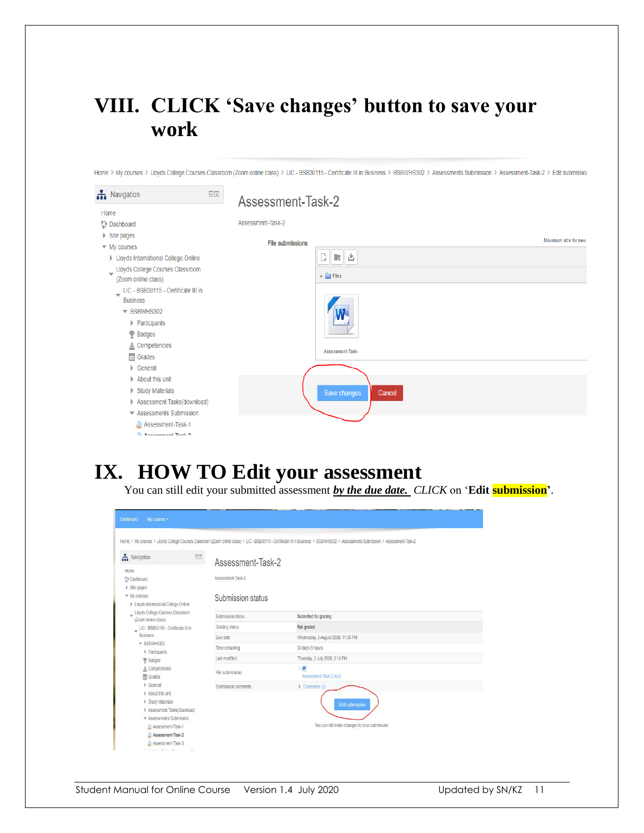#### **VIII. CLICK 'Save changes' button to save your work**

Home > My courses > Lloyds College Courses Classroom (Zoom online class) > LIC - BSB30115 - Certificate III in Business > BSBWHS302 > Assessments Submission > Assessment-Task-2 > Edit submission

| Ravigation                                                                                        | $\overline{\phantom{a}}$<br>Assessment-Task-2 |                                            |
|---------------------------------------------------------------------------------------------------|-----------------------------------------------|--------------------------------------------|
| Home                                                                                              |                                               |                                            |
| Dashboard                                                                                         | Assessment-Task-2                             |                                            |
| $\triangleright$ Site pages                                                                       |                                               | Maximum size for new                       |
| $\blacktriangleright$ My courses                                                                  | <b>File submissions</b>                       |                                            |
| <b>Lloyds International College Online</b>                                                        |                                               | 腰齿<br>Q.                                   |
| Lloyds College Courses Classroom<br>$\overline{\phantom{0}}$<br>(Zoom online class)               |                                               | $\blacktriangleright$ $\blacksquare$ Files |
| LIC - BSB30115 - Certificate III in<br>$\overline{\phantom{a}}$<br><b>Business</b><br>▼ BSBWHS302 |                                               |                                            |
| Participants<br>Badges                                                                            |                                               |                                            |
| $\triangle$ Competencies<br>$\Box$ Grades                                                         |                                               | Assessment-Task-                           |
| $\triangleright$ General                                                                          |                                               |                                            |
| About this unit                                                                                   |                                               |                                            |
| Study Materials                                                                                   |                                               | Save changes<br>Cancel                     |
| Assessment Tasks(download)                                                                        |                                               |                                            |
| ▼ Assessments Submission                                                                          |                                               |                                            |
| Assessment-Task-1                                                                                 |                                               |                                            |
| Announced Took 2                                                                                  |                                               |                                            |

#### **IX. HOW TO Edit your assessment**

You can still edit your submitted assessment *by the due date. CLICK* on '**Edit submission**'.

| <b>A</b> Navigation<br>日間<br>Assessment-Task-2<br>Assessment-Task-2<br><b>Dashboard</b><br>Site pages<br>▼ My courses<br>Submission status<br>> Lloyds International College Online<br>Uloyds College Courses Classroom<br>Submission status<br>Submitted for grading<br>(Zoom online class)<br>Not graded<br>Grading status<br>LIC - BSB30115 - Certificate III in<br>$\overline{\mathbf{v}}$<br><b>Business</b><br>Due date<br>Wednesday, 5 August 2020, 11:55 PM<br>▼ BSBWHS302<br>34 days 9 hours<br>Time remaining<br>Participants<br>I ast modified<br>Thursday, 2 July 2020, 2:14 PM<br>₩ Badges<br>署<br>≜ Competencies<br>File submissions<br>Assessment-Task-2.docx<br>Grades<br>Ceneral<br>Comments (0)<br>Submission comments |  |
|------------------------------------------------------------------------------------------------------------------------------------------------------------------------------------------------------------------------------------------------------------------------------------------------------------------------------------------------------------------------------------------------------------------------------------------------------------------------------------------------------------------------------------------------------------------------------------------------------------------------------------------------------------------------------------------------------------------------------------------|--|
|                                                                                                                                                                                                                                                                                                                                                                                                                                                                                                                                                                                                                                                                                                                                          |  |
|                                                                                                                                                                                                                                                                                                                                                                                                                                                                                                                                                                                                                                                                                                                                          |  |
|                                                                                                                                                                                                                                                                                                                                                                                                                                                                                                                                                                                                                                                                                                                                          |  |
|                                                                                                                                                                                                                                                                                                                                                                                                                                                                                                                                                                                                                                                                                                                                          |  |
|                                                                                                                                                                                                                                                                                                                                                                                                                                                                                                                                                                                                                                                                                                                                          |  |
|                                                                                                                                                                                                                                                                                                                                                                                                                                                                                                                                                                                                                                                                                                                                          |  |
|                                                                                                                                                                                                                                                                                                                                                                                                                                                                                                                                                                                                                                                                                                                                          |  |
|                                                                                                                                                                                                                                                                                                                                                                                                                                                                                                                                                                                                                                                                                                                                          |  |
|                                                                                                                                                                                                                                                                                                                                                                                                                                                                                                                                                                                                                                                                                                                                          |  |
|                                                                                                                                                                                                                                                                                                                                                                                                                                                                                                                                                                                                                                                                                                                                          |  |
|                                                                                                                                                                                                                                                                                                                                                                                                                                                                                                                                                                                                                                                                                                                                          |  |
|                                                                                                                                                                                                                                                                                                                                                                                                                                                                                                                                                                                                                                                                                                                                          |  |
|                                                                                                                                                                                                                                                                                                                                                                                                                                                                                                                                                                                                                                                                                                                                          |  |
|                                                                                                                                                                                                                                                                                                                                                                                                                                                                                                                                                                                                                                                                                                                                          |  |
| About this unit                                                                                                                                                                                                                                                                                                                                                                                                                                                                                                                                                                                                                                                                                                                          |  |
| Study Materials<br><b>Edit submission</b>                                                                                                                                                                                                                                                                                                                                                                                                                                                                                                                                                                                                                                                                                                |  |
| Assessment Tasks(download)                                                                                                                                                                                                                                                                                                                                                                                                                                                                                                                                                                                                                                                                                                               |  |
| <b>v</b> Assessments Submission<br>You can still make changes to your submission                                                                                                                                                                                                                                                                                                                                                                                                                                                                                                                                                                                                                                                         |  |
| Assessment-Task-1                                                                                                                                                                                                                                                                                                                                                                                                                                                                                                                                                                                                                                                                                                                        |  |
| Assessment-Task-2<br>Assessment-Task-3                                                                                                                                                                                                                                                                                                                                                                                                                                                                                                                                                                                                                                                                                                   |  |